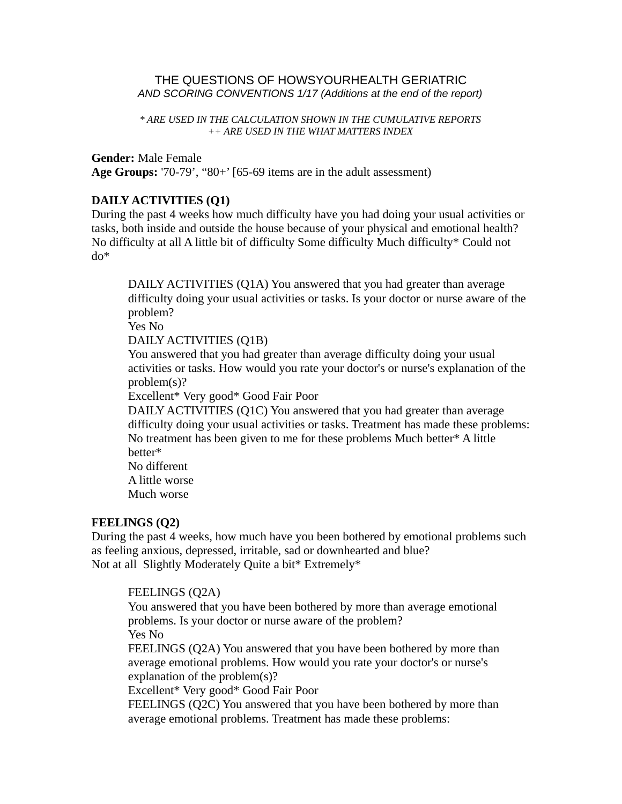#### THE QUESTIONS OF HOWSYOURHEALTH GERIATRIC *AND SCORING CONVENTIONS 1/17 (Additions at the end of the report)*

#### *\* ARE USED IN THE CALCULATION SHOWN IN THE CUMULATIVE REPORTS ++ ARE USED IN THE WHAT MATTERS INDEX*

#### **Gender:** Male Female

**Age Groups:** '70-79', "80+' [65-69 items are in the adult assessment)

### **DAILY ACTIVITIES (Q1)**

During the past 4 weeks how much difficulty have you had doing your usual activities or tasks, both inside and outside the house because of your physical and emotional health? No difficulty at all A little bit of difficulty Some difficulty Much difficulty\* Could not do\*

DAILY ACTIVITIES (Q1A) You answered that you had greater than average difficulty doing your usual activities or tasks. Is your doctor or nurse aware of the problem?

Yes No

DAILY ACTIVITIES (Q1B)

You answered that you had greater than average difficulty doing your usual activities or tasks. How would you rate your doctor's or nurse's explanation of the problem(s)?

Excellent\* Very good\* Good Fair Poor

DAILY ACTIVITIES (Q1C) You answered that you had greater than average difficulty doing your usual activities or tasks. Treatment has made these problems: No treatment has been given to me for these problems Much better\* A little better\*

No different A little worse

Much worse

### **FEELINGS (Q2)**

During the past 4 weeks, how much have you been bothered by emotional problems such as feeling anxious, depressed, irritable, sad or downhearted and blue? Not at all Slightly Moderately Quite a bit\* Extremely\*

### FEELINGS (Q2A)

You answered that you have been bothered by more than average emotional problems. Is your doctor or nurse aware of the problem? Yes No

FEELINGS (Q2A) You answered that you have been bothered by more than average emotional problems. How would you rate your doctor's or nurse's explanation of the problem(s)?

Excellent\* Very good\* Good Fair Poor

FEELINGS (Q2C) You answered that you have been bothered by more than average emotional problems. Treatment has made these problems: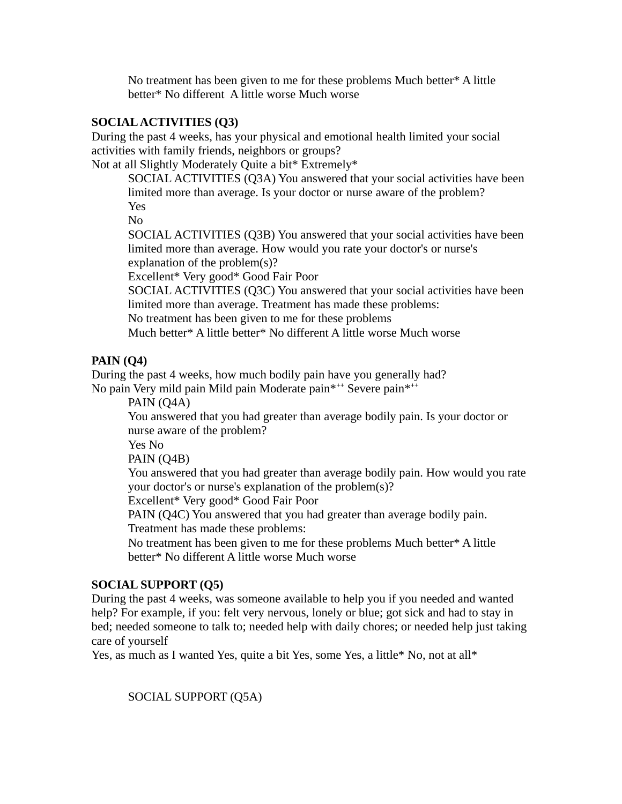No treatment has been given to me for these problems Much better\* A little better\* No different A little worse Much worse

### **SOCIAL ACTIVITIES (Q3)**

During the past 4 weeks, has your physical and emotional health limited your social activities with family friends, neighbors or groups?

Not at all Slightly Moderately Quite a bit\* Extremely\*

SOCIAL ACTIVITIES (Q3A) You answered that your social activities have been limited more than average. Is your doctor or nurse aware of the problem? Yes

No

SOCIAL ACTIVITIES (Q3B) You answered that your social activities have been limited more than average. How would you rate your doctor's or nurse's explanation of the problem(s)?

Excellent\* Very good\* Good Fair Poor

SOCIAL ACTIVITIES (Q3C) You answered that your social activities have been limited more than average. Treatment has made these problems:

No treatment has been given to me for these problems

Much better\* A little better\* No different A little worse Much worse

## **PAIN (Q4)**

During the past 4 weeks, how much bodily pain have you generally had? No pain Very mild pain Mild pain Moderate pain\***++** Severe pain\***++**

PAIN (Q4A)

You answered that you had greater than average bodily pain. Is your doctor or nurse aware of the problem?

Yes No

PAIN (Q4B)

You answered that you had greater than average bodily pain. How would you rate your doctor's or nurse's explanation of the problem(s)?

Excellent\* Very good\* Good Fair Poor

PAIN (Q4C) You answered that you had greater than average bodily pain. Treatment has made these problems:

No treatment has been given to me for these problems Much better\* A little better\* No different A little worse Much worse

## **SOCIAL SUPPORT (Q5)**

During the past 4 weeks, was someone available to help you if you needed and wanted help? For example, if you: felt very nervous, lonely or blue; got sick and had to stay in bed; needed someone to talk to; needed help with daily chores; or needed help just taking care of yourself

Yes, as much as I wanted Yes, quite a bit Yes, some Yes, a little\* No, not at all\*

SOCIAL SUPPORT (Q5A)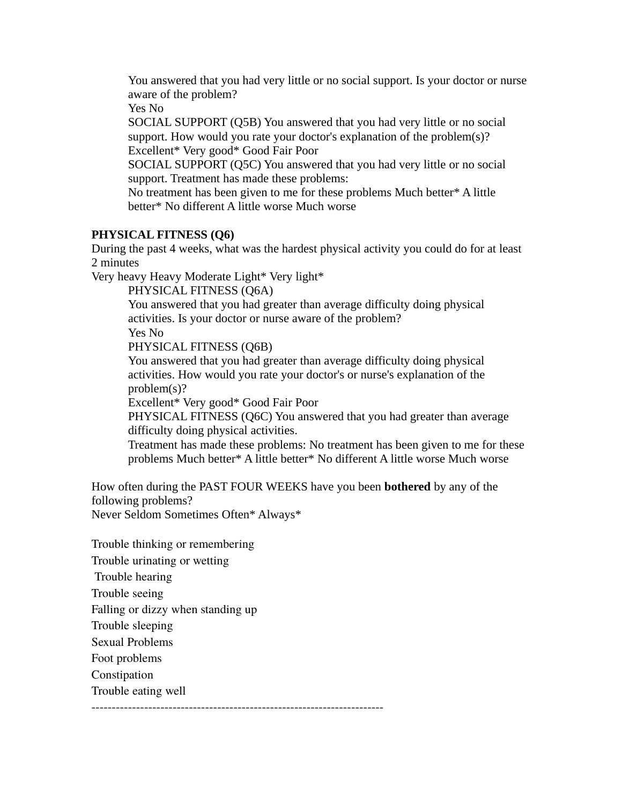You answered that you had very little or no social support. Is your doctor or nurse aware of the problem?

Yes No

SOCIAL SUPPORT (Q5B) You answered that you had very little or no social support. How would you rate your doctor's explanation of the problem(s)? Excellent\* Very good\* Good Fair Poor

SOCIAL SUPPORT (Q5C) You answered that you had very little or no social support. Treatment has made these problems:

No treatment has been given to me for these problems Much better\* A little better\* No different A little worse Much worse

### **PHYSICAL FITNESS (Q6)**

During the past 4 weeks, what was the hardest physical activity you could do for at least 2 minutes

Very heavy Heavy Moderate Light\* Very light\*

PHYSICAL FITNESS (Q6A)

You answered that you had greater than average difficulty doing physical activities. Is your doctor or nurse aware of the problem?

Yes No

PHYSICAL FITNESS (Q6B)

You answered that you had greater than average difficulty doing physical activities. How would you rate your doctor's or nurse's explanation of the problem(s)?

Excellent\* Very good\* Good Fair Poor

PHYSICAL FITNESS (Q6C) You answered that you had greater than average difficulty doing physical activities.

Treatment has made these problems: No treatment has been given to me for these problems Much better\* A little better\* No different A little worse Much worse

How often during the PAST FOUR WEEKS have you been **bothered** by any of the following problems?

Never Seldom Sometimes Often\* Always\*

Trouble thinking or remembering

Trouble urinating or wetting

Trouble hearing

Trouble seeing

Falling or dizzy when standing up

Trouble sleeping

Sexual Problems

Foot problems

Constipation

Trouble eating well

------------------------------------------------------------------------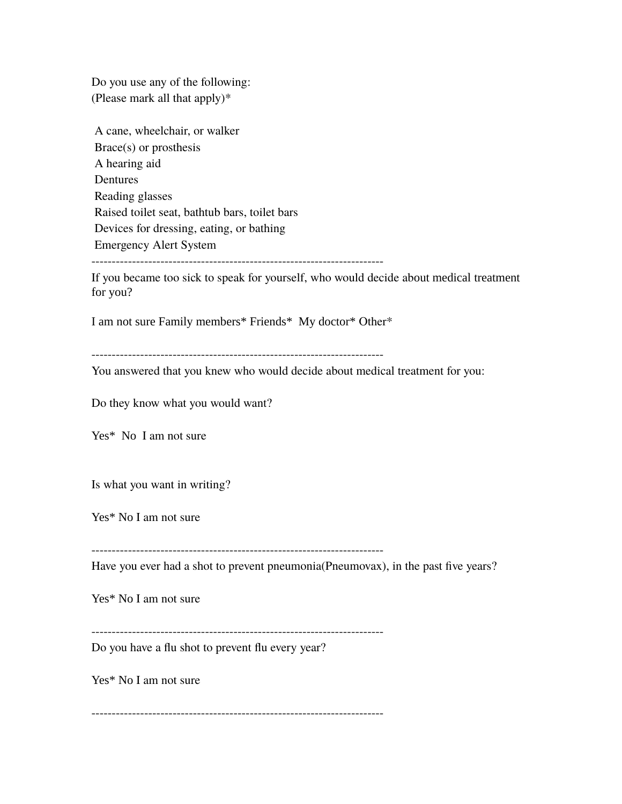Do you use any of the following: (Please mark all that apply)\*

| A cane, wheelchair, or walker                 |
|-----------------------------------------------|
| $Brace(s)$ or prosthesis                      |
| A hearing aid                                 |
| Dentures                                      |
| Reading glasses                               |
| Raised toilet seat, bathtub bars, toilet bars |
| Devices for dressing, eating, or bathing      |
| <b>Emergency Alert System</b>                 |
|                                               |

If you became too sick to speak for yourself, who would decide about medical treatment for you?

I am not sure Family members\* Friends\* My doctor\* Other\*

------------------------------------------------------------------------

You answered that you knew who would decide about medical treatment for you:

Do they know what you would want?

Yes\* No I am not sure

Is what you want in writing?

Yes\* No I am not sure

------------------------------------------------------------------------

Have you ever had a shot to prevent pneumonia(Pneumovax), in the past five years?

Yes\* No I am not sure

------------------------------------------------------------------------

Do you have a flu shot to prevent flu every year?

Yes\* No I am not sure

------------------------------------------------------------------------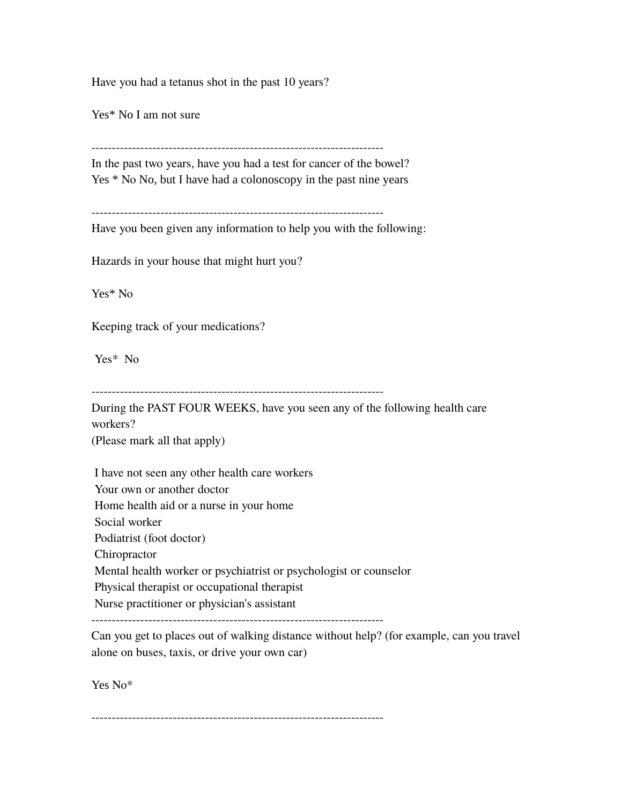Have you had a tetanus shot in the past 10 years?

Yes\* No I am not sure

------------------------------------------------------------------------

In the past two years, have you had a test for cancer of the bowel? Yes \* No No, but I have had a colonoscopy in the past nine years

------------------------------------------------------------------------

Have you been given any information to help you with the following:

Hazards in your house that might hurt you?

Yes\* No

Keeping track of your medications?

Yes\* No

------------------------------------------------------------------------

During the PAST FOUR WEEKS, have you seen any of the following health care workers?

(Please mark all that apply)

 I have not seen any other health care workers Your own or another doctor Home health aid or a nurse in your home Social worker Podiatrist (foot doctor) Chiropractor Mental health worker or psychiatrist or psychologist or counselor Physical therapist or occupational therapist Nurse practitioner or physician's assistant ------------------------------------------------------------------------

Can you get to places out of walking distance without help? (for example, can you travel alone on buses, taxis, or drive your own car)

Yes No\*

------------------------------------------------------------------------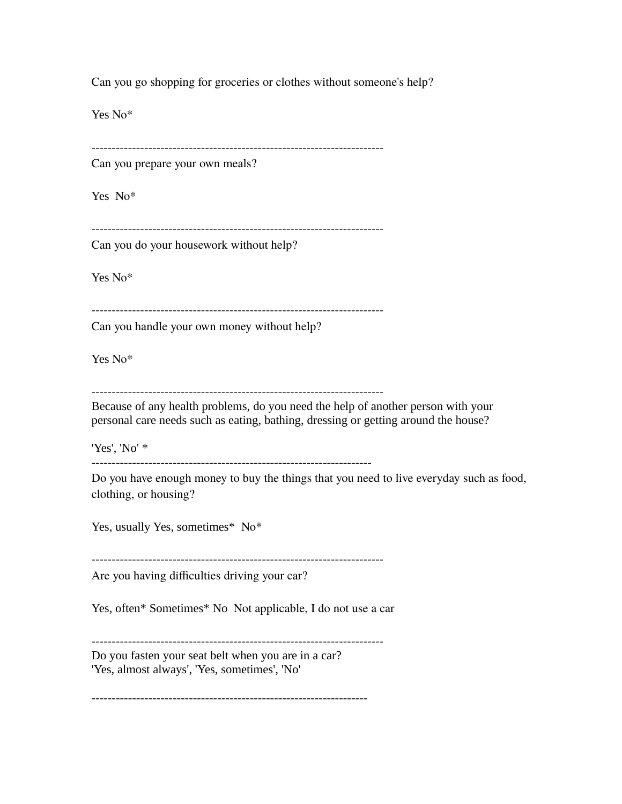Can you go shopping for groceries or clothes without someone's help?

Yes No\*

------------------------------------------------------------------------

Can you prepare your own meals?

Yes No\*

------------------------------------------------------------------------

Can you do your housework without help?

Yes No\*

------------------------------------------------------------------------

Can you handle your own money without help?

Yes No\*

------------------------------------------------------------------------

Because of any health problems, do you need the help of another person with your personal care needs such as eating, bathing, dressing or getting around the house?

'Yes', 'No' \*

---------------------------------------------------------------------

Do you have enough money to buy the things that you need to live everyday such as food, clothing, or housing?

Yes, usually Yes, sometimes\* No\*

------------------------------------------------------------------------ Are you having difficulties driving your car?

Yes, often\* Sometimes\* No Not applicable, I do not use a car

------------------------------------------------------------------------

Do you fasten your seat belt when you are in a car? 'Yes, almost always', 'Yes, sometimes', 'No'

--------------------------------------------------------------------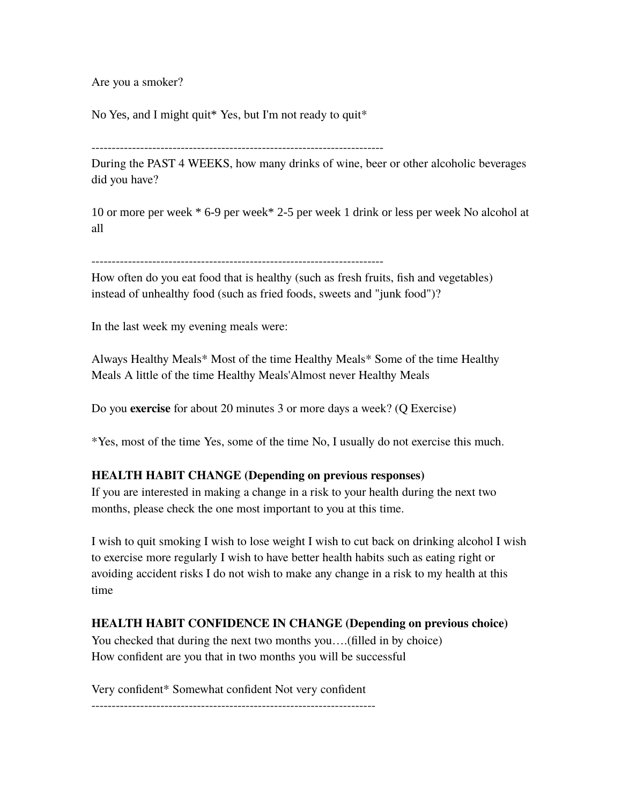Are you a smoker?

No Yes, and I might quit\* Yes, but I'm not ready to quit\*

During the PAST 4 WEEKS, how many drinks of wine, beer or other alcoholic beverages did you have?

10 or more per week \* 6-9 per week\* 2-5 per week 1 drink or less per week No alcohol at all

How often do you eat food that is healthy (such as fresh fruits, fish and vegetables) instead of unhealthy food (such as fried foods, sweets and "junk food")?

In the last week my evening meals were:

Always Healthy Meals\* Most of the time Healthy Meals\* Some of the time Healthy Meals A little of the time Healthy Meals'Almost never Healthy Meals

Do you **exercise** for about 20 minutes 3 or more days a week? (Q Exercise)

\*Yes, most of the time Yes, some of the time No, I usually do not exercise this much.

## **HEALTH HABIT CHANGE (Depending on previous responses)**

If you are interested in making a change in a risk to your health during the next two months, please check the one most important to you at this time.

I wish to quit smoking I wish to lose weight I wish to cut back on drinking alcohol I wish to exercise more regularly I wish to have better health habits such as eating right or avoiding accident risks I do not wish to make any change in a risk to my health at this time

# **HEALTH HABIT CONFIDENCE IN CHANGE (Depending on previous choice)**

You checked that during the next two months you….(filled in by choice) How confident are you that in two months you will be successful

Very confident\* Somewhat confident Not very confident

----------------------------------------------------------------------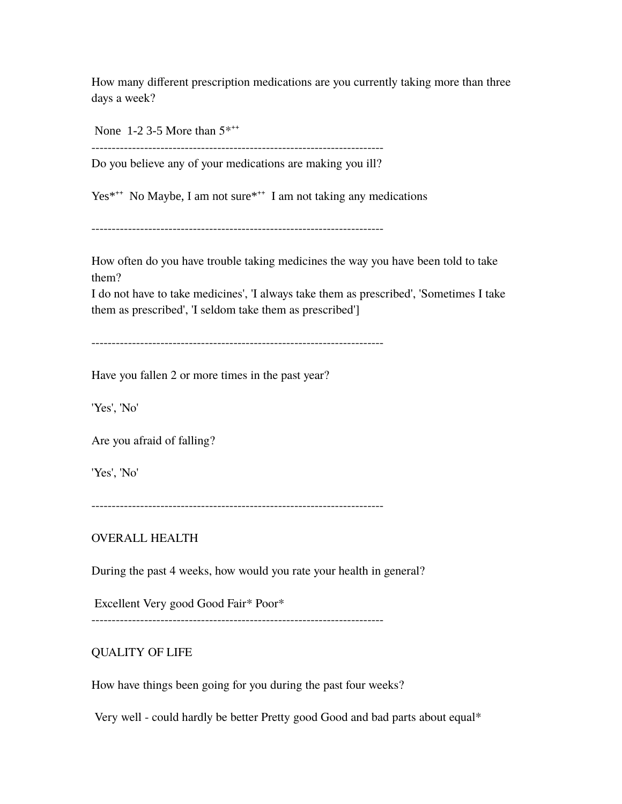How many different prescription medications are you currently taking more than three days a week?

None 1-2 3-5 More than 5\***++**

Do you believe any of your medications are making you ill?

------------------------------------------------------------------------

Yes\*<sup>++</sup> No Maybe, I am not sure<sup>\*\*+</sup> I am not taking any medications

------------------------------------------------------------------------

How often do you have trouble taking medicines the way you have been told to take them?

I do not have to take medicines', 'I always take them as prescribed', 'Sometimes I take them as prescribed', 'I seldom take them as prescribed']

------------------------------------------------------------------------

Have you fallen 2 or more times in the past year?

'Yes', 'No'

Are you afraid of falling?

'Yes', 'No'

------------------------------------------------------------------------

### OVERALL HEALTH

During the past 4 weeks, how would you rate your health in general?

Excellent Very good Good Fair\* Poor\*

------------------------------------------------------------------------

### QUALITY OF LIFE

How have things been going for you during the past four weeks?

Very well - could hardly be better Pretty good Good and bad parts about equal\*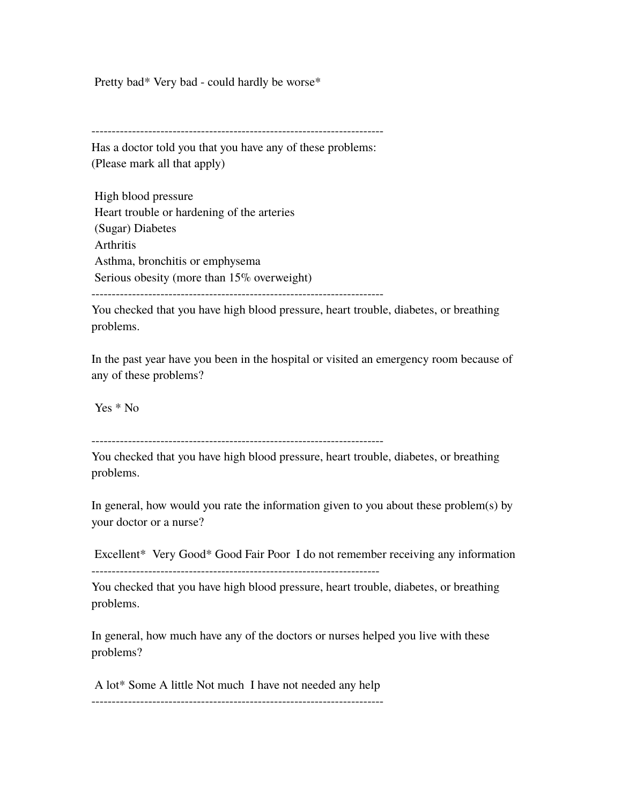Pretty bad\* Very bad - could hardly be worse\*

Has a doctor told you that you have any of these problems: (Please mark all that apply)

 High blood pressure Heart trouble or hardening of the arteries (Sugar) Diabetes Arthritis Asthma, bronchitis or emphysema Serious obesity (more than 15% overweight) ------------------------------------------------------------------------

You checked that you have high blood pressure, heart trouble, diabetes, or breathing problems.

In the past year have you been in the hospital or visited an emergency room because of any of these problems?

Yes \* No

------------------------------------------------------------------------

You checked that you have high blood pressure, heart trouble, diabetes, or breathing problems.

In general, how would you rate the information given to you about these problem(s) by your doctor or a nurse?

 Excellent\* Very Good\* Good Fair Poor I do not remember receiving any information -----------------------------------------------------------------------

You checked that you have high blood pressure, heart trouble, diabetes, or breathing problems.

In general, how much have any of the doctors or nurses helped you live with these problems?

 A lot\* Some A little Not much I have not needed any help ------------------------------------------------------------------------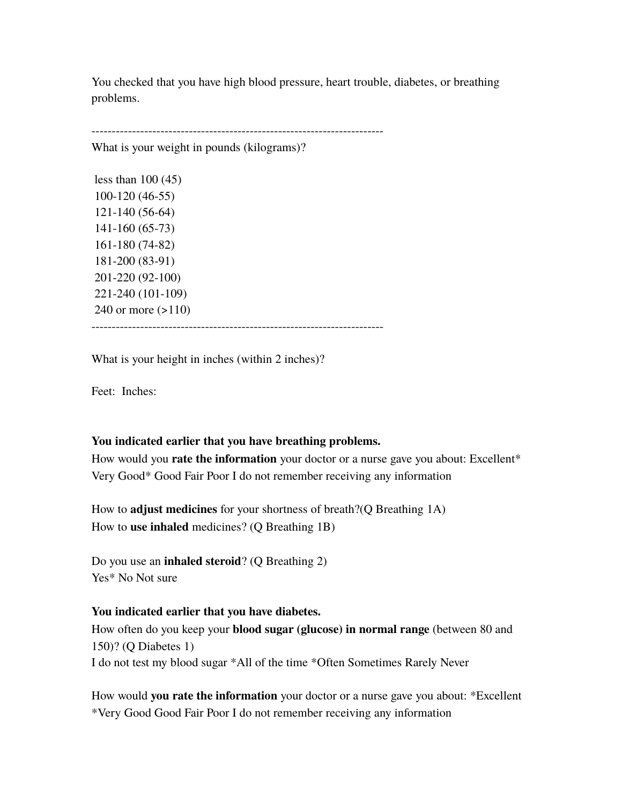You checked that you have high blood pressure, heart trouble, diabetes, or breathing problems.

------------------------------------------------------------------------

What is your weight in pounds (kilograms)?

 less than 100 (45) 100-120 (46-55) 121-140 (56-64) 141-160 (65-73) 161-180 (74-82) 181-200 (83-91) 201-220 (92-100) 221-240 (101-109) 240 or more (>110) ------------------------------------------------------------------------

What is your height in inches (within 2 inches)?

Feet: Inches:

#### **You indicated earlier that you have breathing problems.**

How would you **rate the information** your doctor or a nurse gave you about: Excellent\* Very Good\* Good Fair Poor I do not remember receiving any information

How to **adjust medicines** for your shortness of breath?(Q Breathing 1A) How to **use inhaled** medicines? (Q Breathing 1B)

Do you use an **inhaled steroid**? (Q Breathing 2) Yes\* No Not sure

#### **You indicated earlier that you have diabetes.**

How often do you keep your **blood sugar (glucose) in normal range** (between 80 and 150)? (Q Diabetes 1) I do not test my blood sugar \*All of the time \*Often Sometimes Rarely Never

How would **you rate the information** your doctor or a nurse gave you about: \*Excellent \*Very Good Good Fair Poor I do not remember receiving any information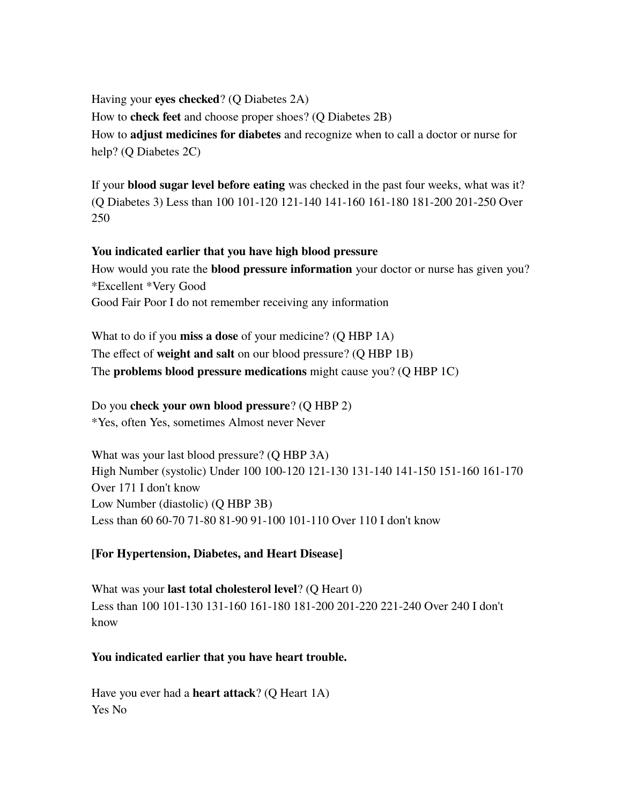Having your **eyes checked**? (Q Diabetes 2A) How to **check feet** and choose proper shoes? (Q Diabetes 2B) How to **adjust medicines for diabetes** and recognize when to call a doctor or nurse for help? (Q Diabetes 2C)

If your **blood sugar level before eating** was checked in the past four weeks, what was it? (Q Diabetes 3) Less than 100 101-120 121-140 141-160 161-180 181-200 201-250 Over 250

# **You indicated earlier that you have high blood pressure**

How would you rate the **blood pressure information** your doctor or nurse has given you? \*Excellent \*Very Good Good Fair Poor I do not remember receiving any information

What to do if you **miss a dose** of your medicine? (Q HBP 1A) The effect of **weight and salt** on our blood pressure? (Q HBP 1B) The **problems blood pressure medications** might cause you? (Q HBP 1C)

Do you **check your own blood pressure**? (Q HBP 2)

\*Yes, often Yes, sometimes Almost never Never

What was your last blood pressure? (Q HBP 3A) High Number (systolic) Under 100 100-120 121-130 131-140 141-150 151-160 161-170 Over 171 I don't know Low Number (diastolic) (Q HBP 3B) Less than 60 60-70 71-80 81-90 91-100 101-110 Over 110 I don't know

# **[For Hypertension, Diabetes, and Heart Disease]**

What was your **last total cholesterol level**? (Q Heart 0) Less than 100 101-130 131-160 161-180 181-200 201-220 221-240 Over 240 I don't know

## **You indicated earlier that you have heart trouble.**

Have you ever had a **heart attack**? (Q Heart 1A) Yes No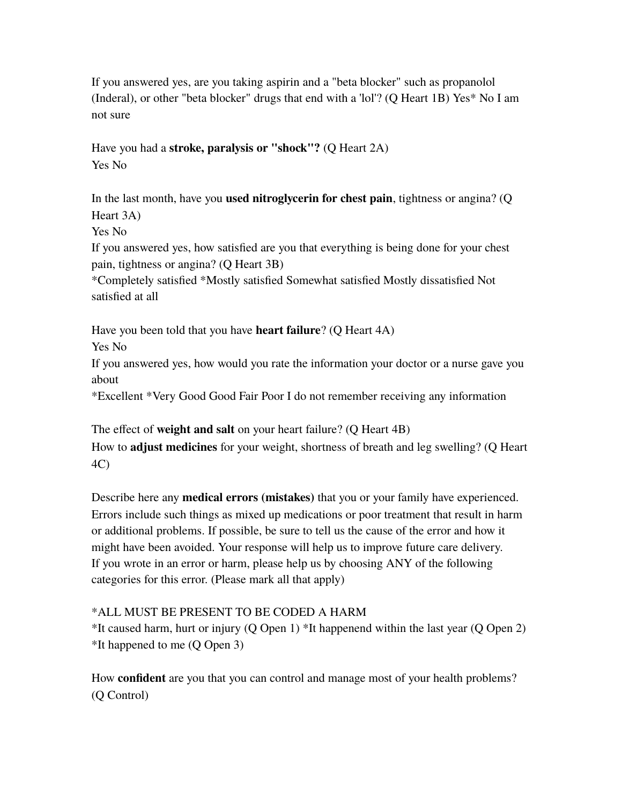If you answered yes, are you taking aspirin and a "beta blocker" such as propanolol (Inderal), or other "beta blocker" drugs that end with a 'lol'? (Q Heart 1B) Yes\* No I am not sure

Have you had a **stroke, paralysis or "shock"?** (Q Heart 2A) Yes No

In the last month, have you **used nitroglycerin for chest pain**, tightness or angina? (Q Heart 3A)

Yes No

If you answered yes, how satisfied are you that everything is being done for your chest pain, tightness or angina? (Q Heart 3B)

\*Completely satisfied \*Mostly satisfied Somewhat satisfied Mostly dissatisfied Not satisfied at all

Have you been told that you have **heart failure**? (Q Heart 4A)

Yes No

If you answered yes, how would you rate the information your doctor or a nurse gave you about

\*Excellent \*Very Good Good Fair Poor I do not remember receiving any information

The effect of **weight and salt** on your heart failure? (Q Heart 4B) How to **adjust medicines** for your weight, shortness of breath and leg swelling? (Q Heart 4C)

Describe here any **medical errors (mistakes)** that you or your family have experienced. Errors include such things as mixed up medications or poor treatment that result in harm or additional problems. If possible, be sure to tell us the cause of the error and how it might have been avoided. Your response will help us to improve future care delivery. If you wrote in an error or harm, please help us by choosing ANY of the following categories for this error. (Please mark all that apply)

## \*ALL MUST BE PRESENT TO BE CODED A HARM

\*It caused harm, hurt or injury (Q Open 1) \*It happenend within the last year (Q Open 2) \*It happened to me (Q Open 3)

How **confident** are you that you can control and manage most of your health problems? (Q Control)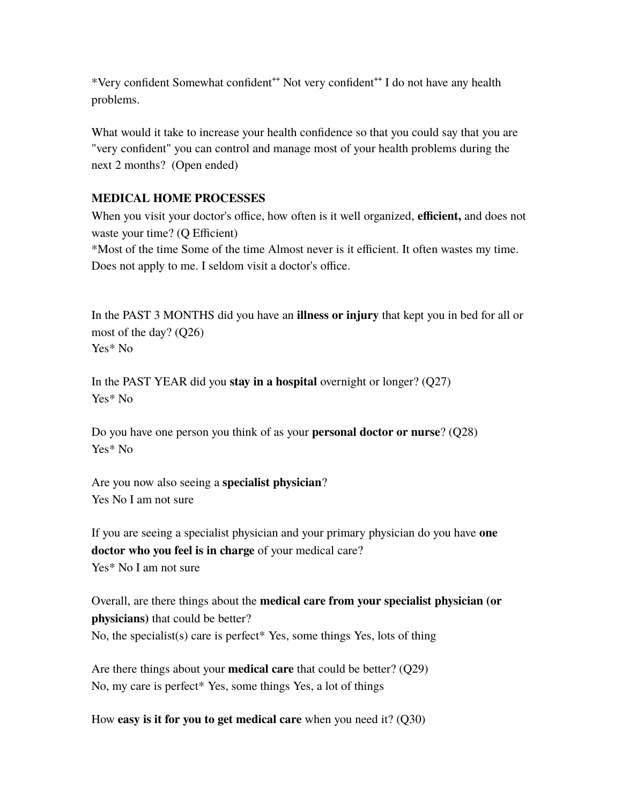\*Very confident Somewhat confident**++** Not very confident**++** I do not have any health problems.

What would it take to increase your health confidence so that you could say that you are "very confident" you can control and manage most of your health problems during the next 2 months? (Open ended)

### **MEDICAL HOME PROCESSES**

When you visit your doctor's office, how often is it well organized, **efficient,** and does not waste your time? (Q Efficient)

\*Most of the time Some of the time Almost never is it efficient. It often wastes my time. Does not apply to me. I seldom visit a doctor's office.

In the PAST 3 MONTHS did you have an **illness or injury** that kept you in bed for all or most of the day? (Q26) Yes\* No

In the PAST YEAR did you **stay in a hospital** overnight or longer? (Q27) Yes\* No

Do you have one person you think of as your **personal doctor or nurse**? (Q28) Yes\* No

Are you now also seeing a **specialist physician**? Yes No I am not sure

If you are seeing a specialist physician and your primary physician do you have **one doctor who you feel is in charge** of your medical care? Yes\* No I am not sure

Overall, are there things about the **medical care from your specialist physician (or physicians)** that could be better? No, the specialist(s) care is perfect\* Yes, some things Yes, lots of thing

Are there things about your **medical care** that could be better? (Q29) No, my care is perfect\* Yes, some things Yes, a lot of things

How **easy is it for you to get medical care** when you need it? (Q30)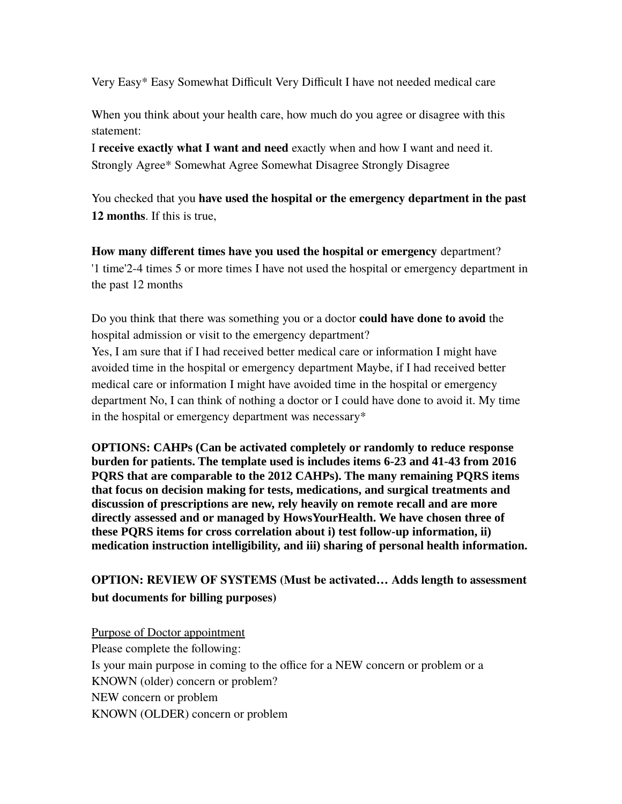Very Easy\* Easy Somewhat Difficult Very Difficult I have not needed medical care

When you think about your health care, how much do you agree or disagree with this statement:

I **receive exactly what I want and need** exactly when and how I want and need it. Strongly Agree\* Somewhat Agree Somewhat Disagree Strongly Disagree

You checked that you **have used the hospital or the emergency department in the past 12 months**. If this is true,

**How many different times have you used the hospital or emergency** department? '1 time'2-4 times 5 or more times I have not used the hospital or emergency department in the past 12 months

Do you think that there was something you or a doctor **could have done to avoid** the hospital admission or visit to the emergency department?

Yes, I am sure that if I had received better medical care or information I might have avoided time in the hospital or emergency department Maybe, if I had received better medical care or information I might have avoided time in the hospital or emergency department No, I can think of nothing a doctor or I could have done to avoid it. My time in the hospital or emergency department was necessary\*

**OPTIONS: CAHPs (Can be activated completely or randomly to reduce response burden for patients. The template used is includes items 6-23 and 41-43 from 2016 PQRS that are comparable to the 2012 CAHPs). The many remaining PQRS items that focus on decision making for tests, medications, and surgical treatments and discussion of prescriptions are new, rely heavily on remote recall and are more directly assessed and or managed by HowsYourHealth. We have chosen three of these PQRS items for cross correlation about i) test follow-up information, ii) medication instruction intelligibility, and iii) sharing of personal health information.**

**OPTION: REVIEW OF SYSTEMS (Must be activated… Adds length to assessment but documents for billing purposes)**

Purpose of Doctor appointment Please complete the following: Is your main purpose in coming to the office for a NEW concern or problem or a KNOWN (older) concern or problem? NEW concern or problem KNOWN (OLDER) concern or problem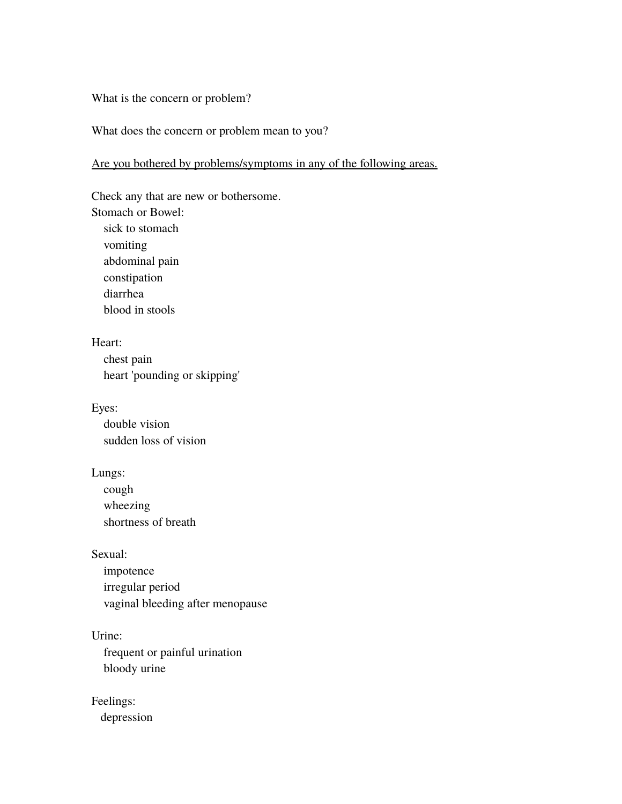### What is the concern or problem?

#### What does the concern or problem mean to you?

### Are you bothered by problems/symptoms in any of the following areas.

Check any that are new or bothersome. Stomach or Bowel: sick to stomach vomiting abdominal pain constipation diarrhea blood in stools

Heart: chest pain

heart 'pounding or skipping'

Eyes: double vision sudden loss of vision

Lungs: cough wheezing

shortness of breath

Sexual:

 impotence irregular period vaginal bleeding after menopause

Urine: frequent or painful urination bloody urine

Feelings: depression